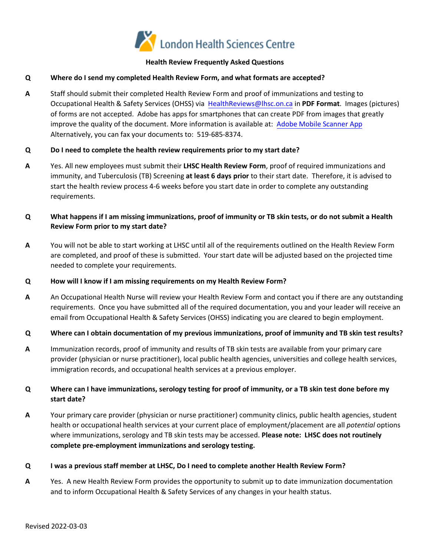

### **Health Review Frequently Asked Questions**

### **Q Where do I send my completed Health Review Form, and what formats are accepted?**

**A** Staff should submit their completed Health Review Form and proof of immunizations and testing to Occupational Health & Safety Services (OHSS) via [HealthReviews@lhsc.on.ca](mailto:HealthReviews@lhsc.on.ca) in **PDF Format**. Images (pictures) of forms are not accepted. Adobe has apps for smartphones that can create PDF from images that greatly improve the quality of the document. More information is available at: [Adobe Mobile Scanner App](https://www.adobe.com/ca/acrobat/mobile/scanner-app.html)  Alternatively, you can fax your documents to: 519-685-8374.

### **Q Do I need to complete the health review requirements prior to my start date?**

- **A** Yes. All new employees must submit their **LHSC Health Review Form**, proof of required immunizations and immunity, and Tuberculosis (TB) Screening **at least 6 days prior** to their start date. Therefore, it is advised to start the health review process 4-6 weeks before you start date in order to complete any outstanding requirements.
- **Q What happens if I am missing immunizations, proof of immunity or TB skin tests, or do not submit a Health Review Form prior to my start date?**
- **A** You will not be able to start working at LHSC until all of the requirements outlined on the Health Review Form are completed, and proof of these is submitted. Your start date will be adjusted based on the projected time needed to complete your requirements.

#### **Q How will I know if I am missing requirements on my Health Review Form?**

- **A** An Occupational Health Nurse will review your Health Review Form and contact you if there are any outstanding requirements. Once you have submitted all of the required documentation, you and your leader will receive an email from Occupational Health & Safety Services (OHSS) indicating you are cleared to begin employment.
- **Q Where can I obtain documentation of my previous immunizations, proof of immunity and TB skin test results?**
- **A** Immunization records, proof of immunity and results of TB skin tests are available from your primary care provider (physician or nurse practitioner), local public health agencies, universities and college health services, immigration records, and occupational health services at a previous employer.

# **Q Where can I have immunizations, serology testing for proof of immunity, or a TB skin test done before my start date?**

**A** Your primary care provider (physician or nurse practitioner) community clinics, public health agencies, student health or occupational health services at your current place of employment/placement are all *potential* options where immunizations, serology and TB skin tests may be accessed. **Please note: LHSC does not routinely complete pre-employment immunizations and serology testing.** 

## **Q I was a previous staff member at LHSC, Do I need to complete another Health Review Form?**

**A** Yes. A new Health Review Form provides the opportunity to submit up to date immunization documentation and to inform Occupational Health & Safety Services of any changes in your health status.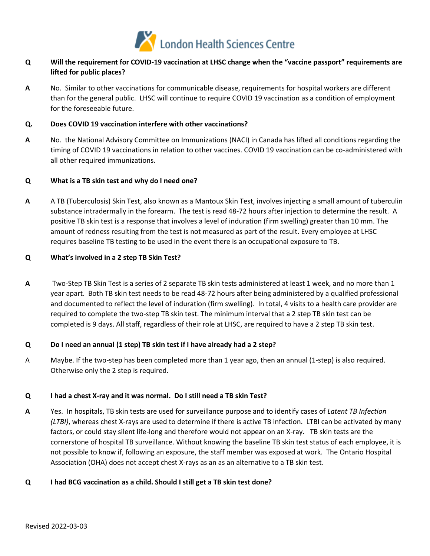

# **Q Will the requirement for COVID-19 vaccination at LHSC change when the "vaccine passport" requirements are lifted for public places?**

 than for the general public. LHSC will continue to require COVID 19 vaccination as a condition of employment **A** No. Similar to other vaccinations for communicable disease, requirements for hospital workers are different for the foreseeable future.

### **Q. Does COVID 19 vaccination interfere with other vaccinations?**

 timing of COVID 19 vaccinations in relation to other vaccines. COVID 19 vaccination can be co-administered with **A** No. the National Advisory Committee on Immunizations (NACI) in Canada has lifted all conditions regarding the all other required immunizations.

### **Q What is a TB skin test and why do I need one?**

**A** A TB (Tuberculosis) Skin Test, also known as a Mantoux Skin Test, involves injecting a small amount of tuberculin substance intradermally in the forearm. The test is read 48-72 hours after injection to determine the result. A positive TB skin test is a response that involves a level of induration (firm swelling) greater than 10 mm. The amount of redness resulting from the test is not measured as part of the result. Every employee at LHSC requires baseline TB testing to be used in the event there is an occupational exposure to TB.

#### **Q What's involved in a 2 step TB Skin Test?**

 **A** Two-Step TB Skin Test is a series of 2 separate TB skin tests administered at least 1 week, and no more than 1 required to complete the two-step TB skin test. The minimum interval that a 2 step TB skin test can be year apart. Both TB skin test needs to be read 48-72 hours after being administered by a qualified professional and documented to reflect the level of induration (firm swelling). In total, 4 visits to a health care provider are completed is 9 days. All staff, regardless of their role at LHSC, are required to have a 2 step TB skin test.

## **Q Do I need an annual (1 step) TB skin test if I have already had a 2 step?**

A Maybe. If the two-step has been completed more than 1 year ago, then an annual (1-step) is also required. Otherwise only the 2 step is required.

# **Q I had a chest X-ray and it was normal. Do I still need a TB skin Test?**

 factors, or could stay silent life-long and therefore would not appear on an X-ray. TB skin tests are the cornerstone of hospital TB surveillance. Without knowing the baseline TB skin test status of each employee, it is not possible to know if, following an exposure, the staff member was exposed at work. The Ontario Hospital **A** Yes. In hospitals, TB skin tests are used for surveillance purpose and to identify cases of *Latent TB Infection (LTBI)*, whereas chest X-rays are used to determine if there is active TB infection. LTBI can be activated by many Association (OHA) does not accept chest X-rays as an as an alternative to a TB skin test.

## **Q I had BCG vaccination as a child. Should I still get a TB skin test done?**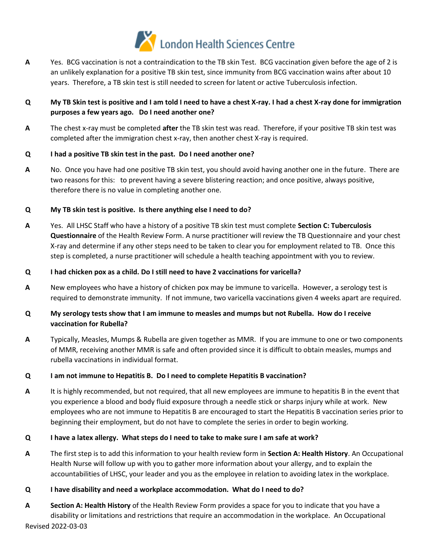

 years. Therefore, a TB skin test is still needed to screen for latent or active Tuberculosis infection. **A** Yes. BCG vaccination is not a contraindication to the TB skin Test. BCG vaccination given before the age of 2 is an unlikely explanation for a positive TB skin test, since immunity from BCG vaccination wains after about 10

# **Q My TB Skin test is positive and I am told I need to have a chest X-ray. I had a chest X-ray done for immigration purposes a few years ago. Do I need another one?**

 **A** The chest x-ray must be completed **after** the TB skin test was read. Therefore, if your positive TB skin test was completed after the immigration chest x-ray, then another chest X-ray is required.

## **Q I had a positive TB skin test in the past. Do I need another one?**

 two reasons for this: to prevent having a severe blistering reaction; and once positive, always positive, **A** No. Once you have had one positive TB skin test, you should avoid having another one in the future. There are therefore there is no value in completing another one.

# **Q My TB skin test is positive. Is there anything else I need to do?**

**A** Yes. All LHSC Staff who have a history of a positive TB skin test must complete **Section C: Tuberculosis Questionnaire** of the Health Review Form. A nurse practitioner will review the TB Questionnaire and your chest X-ray and determine if any other steps need to be taken to clear you for employment related to TB. Once this step is completed, a nurse practitioner will schedule a health teaching appointment with you to review.

## **Q I had chicken pox as a child. Do I still need to have 2 vaccinations for varicella?**

 **A** New employees who have a history of chicken pox may be immune to varicella. However, a serology test is required to demonstrate immunity. If not immune, two varicella vaccinations given 4 weeks apart are required.

# **Q My serology tests show that I am immune to measles and mumps but not Rubella. How do I receive vaccination for Rubella?**

 of MMR, receiving another MMR is safe and often provided since it is difficult to obtain measles, mumps and **A** Typically, Measles, Mumps & Rubella are given together as MMR. If you are immune to one or two components rubella vaccinations in individual format.

# **Q I am not immune to Hepatitis B. Do I need to complete Hepatitis B vaccination?**

 beginning their employment, but do not have to complete the series in order to begin working. **A** It is highly recommended, but not required, that all new employees are immune to hepatitis B in the event that you experience a blood and body fluid exposure through a needle stick or sharps injury while at work. New employees who are not immune to Hepatitis B are encouraged to start the Hepatitis B vaccination series prior to

# **Q I have a latex allergy. What steps do I need to take to make sure I am safe at work?**

 **A** The first step is to add this information to your health review form in **Section A: Health History**. An Occupational Health Nurse will follow up with you to gather more information about your allergy, and to explain the accountabilities of LHSC, your leader and you as the employee in relation to avoiding latex in the workplace.

## **Q I have disability and need a workplace accommodation. What do I need to do?**

**A Section A: Health History** of the Health Review Form provides a space for you to indicate that you have a disability or limitations and restrictions that require an accommodation in the workplace. An Occupational Revised 2022-03-03